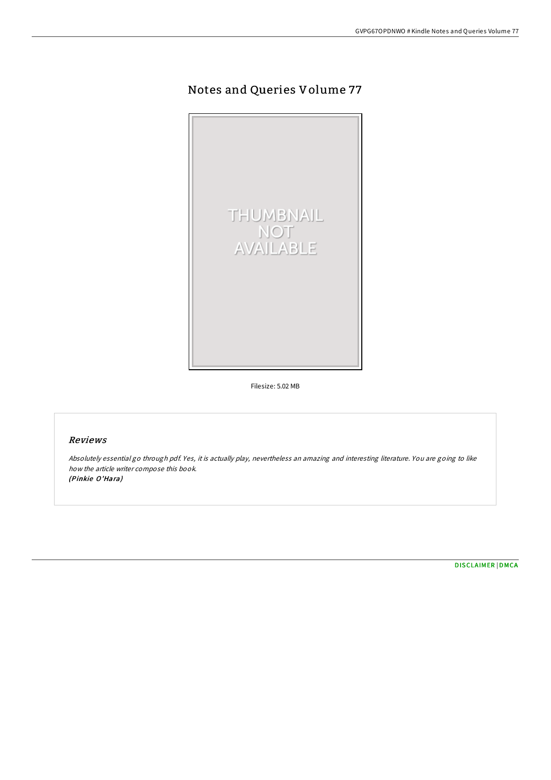# Notes and Queries Volume 77



Filesize: 5.02 MB

## Reviews

Absolutely essential go through pdf. Yes, it is actually play, nevertheless an amazing and interesting literature. You are going to like how the article writer compose this book. (Pinkie O'Hara)

[DISCLAIMER](http://almighty24.tech/disclaimer.html) | [DMCA](http://almighty24.tech/dmca.html)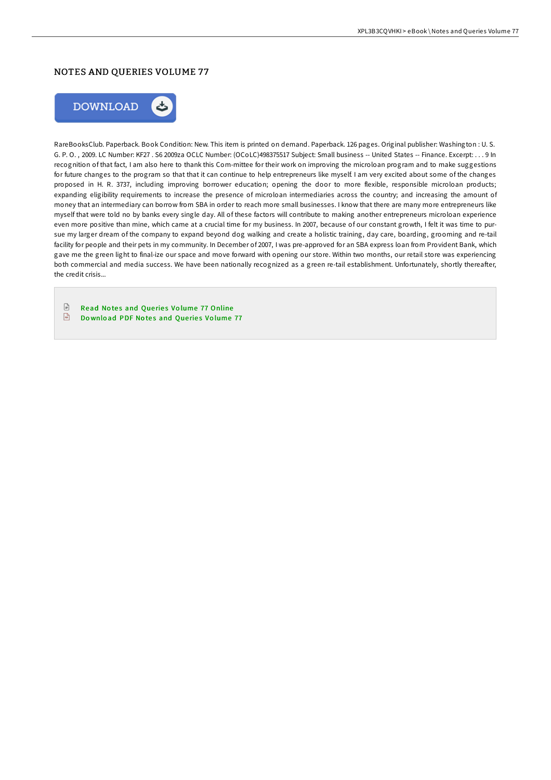### NOTES AND QUERIES VOLUME 77



RareBooksClub. Paperback. Book Condition: New. This item is printed on demand. Paperback. 126 pages. Original publisher: Washington : U. S. G. P. O. , 2009. LC Number: KF27 . S6 2009za OCLC Number: (OCoLC)498375517 Subject: Small business -- United States -- Finance. Excerpt: . . . 9 In recognition of that fact, I am also here to thank this Com-mittee for their work on improving the microloan program and to make suggestions for future changes to the program so that that it can continue to help entrepreneurs like myself. I am very excited about some of the changes proposed in H. R. 3737, including improving borrower education; opening the door to more flexible, responsible microloan products; expanding eligibility requirements to increase the presence of microloan intermediaries across the country; and increasing the amount of money that an intermediary can borrow from SBA in order to reach more small businesses. I know that there are many more entrepreneurs like myself that were told no by banks every single day. All of these factors will contribute to making another entrepreneurs microloan experience even more positive than mine, which came at a crucial time for my business. In 2007, because of our constant growth, I felt it was time to pursue my larger dream of the company to expand beyond dog walking and create a holistic training, day care, boarding, grooming and re-tail facility for people and their pets in my community. In December of 2007, I was pre-approved for an SBA express loan from Provident Bank, which gave me the green light to final-ize our space and move forward with opening our store. Within two months, our retail store was experiencing both commercial and media success. We have been nationally recognized as a green re-tail establishment. Unfortunately, shortly thereafter, the credit crisis...

 $\boxed{=}$ Read Notes and Queries Volume 77 [Online](http://almighty24.tech/notes-and-queries-volume-77.html)  $\frac{D}{R}$ Do wnlo ad PDF No te s and Que rie s Vo [lume](http://almighty24.tech/notes-and-queries-volume-77.html) 77